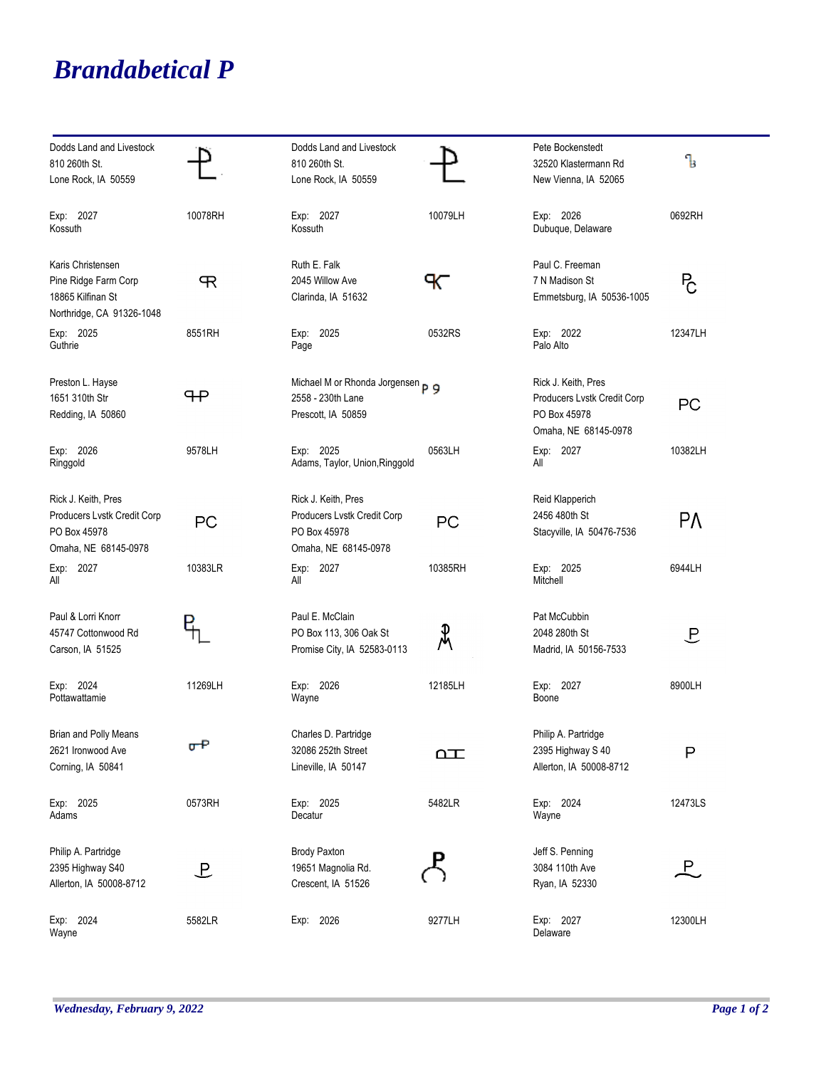## *Brandabetical P*

| Dodds Land and Livestock<br>810 260th St.<br>Lone Rock, IA 50559                            |             | Dodds Land and Livestock<br>810 260th St.<br>Lone Rock, IA 50559                           |          | Pete Bockenstedt<br>32520 Klastermann Rd<br>New Vienna, IA 52065                           | Ъ              |
|---------------------------------------------------------------------------------------------|-------------|--------------------------------------------------------------------------------------------|----------|--------------------------------------------------------------------------------------------|----------------|
| Exp: 2027<br>Kossuth                                                                        | 10078RH     | Exp: 2027<br>Kossuth                                                                       | 10079LH  | Exp: 2026<br>Dubuque, Delaware                                                             | 0692RH         |
| Karis Christensen<br>Pine Ridge Farm Corp<br>18865 Kilfinan St<br>Northridge, CA 91326-1048 | R           | Ruth E. Falk<br>2045 Willow Ave<br>Clarinda, IA 51632                                      | ℀        | Paul C. Freeman<br>7 N Madison St<br>Emmetsburg, IA 50536-1005                             | P <sub>C</sub> |
| Exp: 2025<br>Guthrie                                                                        | 8551RH      | Exp: 2025<br>Page                                                                          | 0532RS   | Exp: 2022<br>Palo Alto                                                                     | 12347LH        |
| Preston L. Hayse<br>1651 310th Str<br>Redding, IA 50860                                     | ᠲ᠊          | Michael M or Rhonda Jorgensen p 9<br>2558 - 230th Lane<br>Prescott, IA 50859               |          | Rick J. Keith, Pres<br>Producers Lvstk Credit Corp<br>PO Box 45978<br>Omaha, NE 68145-0978 | PC             |
| Exp: 2026<br>Ringgold                                                                       | 9578LH      | Exp: 2025<br>Adams, Taylor, Union, Ringgold                                                | 0563LH   | Exp: 2027<br>All                                                                           | 10382LH        |
| Rick J. Keith, Pres<br>Producers Lvstk Credit Corp<br>PO Box 45978<br>Omaha, NE 68145-0978  | PC          | Rick J. Keith, Pres<br>Producers Lvstk Credit Corp<br>PO Box 45978<br>Omaha, NE 68145-0978 | PC       | Reid Klapperich<br>2456 480th St<br>Stacyville, IA 50476-7536                              | PΛ             |
| Exp: 2027<br>All                                                                            | 10383LR     | Exp: 2027<br>All                                                                           | 10385RH  | Exp: 2025<br>Mitchell                                                                      | 6944LH         |
| Paul & Lorri Knorr<br>45747 Cottonwood Rd<br>Carson, IA 51525                               |             | Paul E. McClain<br>PO Box 113, 306 Oak St<br>Promise City, IA 52583-0113                   | ዺ        | Pat McCubbin<br>2048 280th St<br>Madrid, IA 50156-7533                                     | ヒ              |
| Exp: 2024<br>Pottawattamie                                                                  | 11269LH     | Exp: 2026<br>Wayne                                                                         | 12185LH  | Exp: 2027<br>Boone                                                                         | 8900LH         |
| <b>Brian and Polly Means</b><br>2621 Ironwood Ave<br>Corning, IA 50841                      | $\sigma$ -P | Charles D. Partridge<br>32086 252th Street<br>Lineville, IA 50147                          | $\Delta$ | Philip A. Partridge<br>2395 Highway S 40<br>Allerton, IA 50008-8712                        | Ρ              |
| Exp: 2025<br>Adams                                                                          | 0573RH      | Exp: 2025<br>Decatur                                                                       | 5482LR   | Exp: 2024<br>Wayne                                                                         | 12473LS        |
| Philip A. Partridge<br>2395 Highway S40<br>Allerton, IA 50008-8712                          | 上           | <b>Brody Paxton</b><br>19651 Magnolia Rd.<br>Crescent, IA 51526                            |          | Jeff S. Penning<br>3084 110th Ave<br>Ryan, IA 52330                                        | $\mathsf{P}.$  |
| Exp: 2024<br>Wayne                                                                          | 5582LR      | Exp: 2026                                                                                  | 9277LH   | Exp: 2027<br>Delaware                                                                      | 12300LH        |

÷,